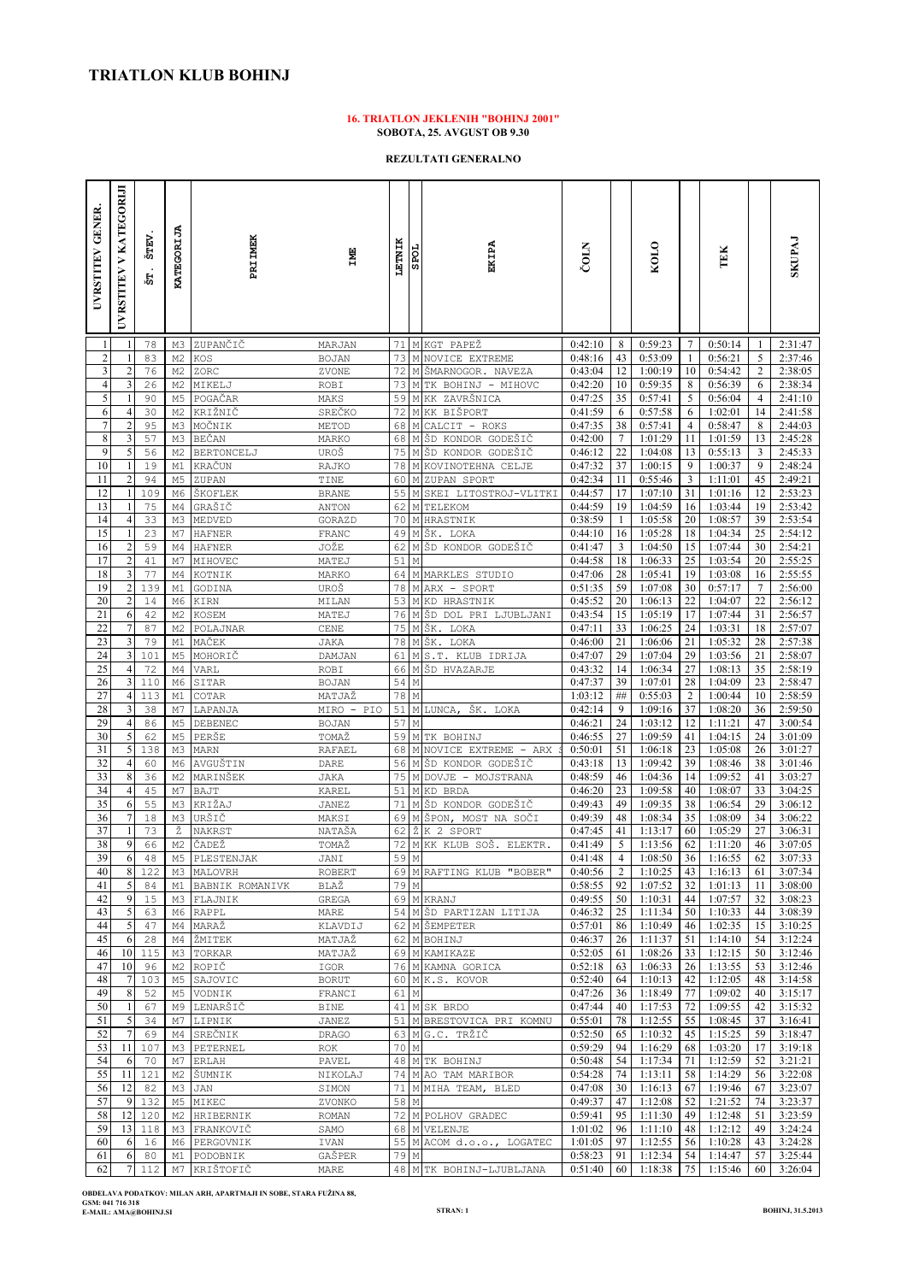## **16. TRIATLON JEKLENIH "BOHINJ 2001" SOBOTA, 25. AVGUST OB 9.30**

**REZULTATI GENERALNO**

| <b>GENER</b><br><b>UVRSTITEV</b> | UVRSTITEV V KATEGORIJI  | ŠTEV<br>'n | <b>KATEGORIJA</b>                | <b>PRIIMEK</b>          | <b>EMI</b>             | LETNIK       | <b>SPOL</b>               | EKIPA                                          | ČOLN               |                | KOLO               |                      | TEK                |                 | <b>EVALISK</b>     |
|----------------------------------|-------------------------|------------|----------------------------------|-------------------------|------------------------|--------------|---------------------------|------------------------------------------------|--------------------|----------------|--------------------|----------------------|--------------------|-----------------|--------------------|
| $\mathbf{1}$                     | -1                      | 78         | M3                               | ZUPANČIČ                | MARJAN                 |              |                           | 71 M KGT PAPEŽ                                 | 0:42:10            | 8              | 0:59:23            | 7                    | 0:50:14            | -1              | 2:31:47            |
| $\sqrt{2}$                       |                         | 83         | M <sub>2</sub>                   | KOS                     | <b>BOJAN</b>           | 73           |                           | M NOVICE EXTREME                               | 0:48:16            | 43             | 0:53:09            | 1                    | 0:56:21            | 5               | 2:37:46            |
| 3<br>$\overline{4}$              | 3                       | 76<br>26   | M <sub>2</sub><br>M <sub>2</sub> | ZORC<br>MIKELJ          | ZVONE<br>ROBI          | 72<br>73     |                           | M ŠMARNOGOR. NAVEZA<br>M TK BOHINJ - MIHOVC    | 0:43:04<br>0:42:20 | 12<br>10       | 1:00:19<br>0:59:35 | 10<br>8              | 0:54:42<br>0:56:39 | 2<br>6          | 2:38:05<br>2:38:34 |
| $\mathfrak s$                    |                         | 90         | M5                               | POGAČAR                 | MAKS                   | 59           |                           | M KK ZAVRŠNICA                                 | 0:47:25            | 35             | 0:57:41            | 5                    | 0:56:04            | 4               | 2:41:10            |
| 6                                | 4                       | 30         | M <sub>2</sub>                   | KRIŽNIČ                 | SREČKO                 | 72           |                           | M KK BIŠPORT                                   | 0:41:59            | 6              | 0:57:58            | 6                    | 1:02:01            | 14              | 2:41:58            |
| $\overline{7}$                   | $\overline{2}$          | 95         | M3                               | MOČNIK                  | METOD                  | 68           | $\mathbb M$               | CALCIT - ROKS                                  | 0:47:35            | 38             | 0:57:41            | 4                    | 0:58:47            | 8               | 2:44:03            |
| 8<br>$\overline{9}$              | 3<br>5                  | 57<br>56   | M3<br>M <sub>2</sub>             | BEČAN                   | MARKO<br>UROŠ          | 68 M<br>75 M |                           | ŠD KONDOR GODEŠIČ<br>ŠD KONDOR GODEŠIČ         | 0:42:00<br>0:46:12 | 7<br>22        | 1:01:29<br>1:04:08 | 11<br>13             | 1:01:59<br>0:55:13 | 13<br>3         | 2:45:28<br>2:45:33 |
| 10                               | 1                       | 19         | M1                               | BERTONCELJ<br>KRAČUN    | RAJKO                  | 78 M         |                           | KOVINOTEHNA CELJE                              | 0:47:32            | 37             | 1:00:15            | 9                    | 1:00:37            | 9               | 2:48:24            |
| 11                               | $\overline{2}$          | 94         | M5                               | ZUPAN                   | TINE                   | 60           | $\mathbb M$               | ZUPAN SPORT                                    | 0:42:34            | 11             | 0:55:46            | 3                    | 1:11:01            | 45              | 2:49:21            |
| 12                               |                         | 109        | M6                               | ŠKOFLEK                 | <b>BRANE</b>           | 55           | M                         | SKEI LITOSTROJ-VLITKI                          | 0:44:57            | 17             | 1:07:10            | 31                   | 1:01:16            | 12              | 2:53:23            |
| 13                               |                         | 75         | M4                               | GRAŠIČ                  | ANTON                  | 62           | M                         | TELEKOM                                        | 0:44:59            | 19             | 1:04:59            | 16                   | 1:03:44            | 19              | 2:53:42            |
| 14<br>15                         | 4                       | 33<br>23   | M3<br>M7                         | MEDVED<br><b>HAFNER</b> | GORAZD<br>FRANC        | 70<br>49     | M                         | <b>M HRASTNIK</b><br>ŠK. LOKA                  | 0:38:59<br>0:44:10 | 1<br>16        | 1:05:58<br>1:05:28 | 20<br>18             | 1:08:57<br>1:04:34 | 39<br>25        | 2:53:54<br>2:54:12 |
| 16                               | $\overline{\mathbf{c}}$ | 59         | M4                               | <b>HAFNER</b>           | JOŽE                   | 62           | $\mathop{\rm M}\nolimits$ | ŠD KONDOR GODEŠIČ                              | 0:41:47            | 3              | 1:04:50            | 15                   | 1:07:44            | 30              | 2:54:21            |
| 17                               | $\overline{c}$          | 41         | M7                               | MIHOVEC                 | MATEJ                  | 51           | М                         |                                                | 0:44:58            | 18             | 1:06:33            | 25                   | 1:03:54            | 20              | 2:55:25            |
| 18                               | 3                       | 77         | M4                               | KOTNIK                  | MARKO                  | 64           |                           | M MARKLES STUDIO                               | 0:47:06            | 28             | 1:05:41            | 19                   | 1:03:08            | 16              | 2:55:55            |
| 19                               | $\overline{2}$          | 139        | M1                               | GODINA                  | UROŠ                   | 78           | $\mathbb M$               | ARX - SPORT                                    | 0:51:35            | 59             | 1:07:08            | 30<br>22             | 0:57:17            | $7\phantom{.0}$ | 2:56:00            |
| 20<br>21                         | $\overline{c}$<br>6     | 14<br>42   | M6<br>M <sub>2</sub>             | KIRN<br>KOSEM           | MILAN<br>MATEJ         | 53<br>76     |                           | <b>M KD HRASTNIK</b><br>M ŠD DOL PRI LJUBLJANI | 0:45:52<br>0:43:54 | 20<br>15       | 1:06:13<br>1:05:19 | 17                   | 1:04:07<br>1:07:44 | 22<br>31        | 2:56:12<br>2:56:57 |
| 22                               | 7                       | 87         | M2                               | POLAJNAR                | CENE                   | 75           | М                         | ŠΚ.<br>LOKA                                    | 0:47:11            | 33             | 1:06:25            | 24                   | 1:03:31            | 18              | 2:57:07            |
| 23                               | 3                       | 79         | M1                               | MAČEK                   | JAKA                   | 78           |                           | MŠK. LOKA                                      | 0:46:00            | 21             | 1:06:06            | 21                   | 1:05:32            | 28              | 2:57:38            |
| 24                               | 3                       | 101        | M5                               | MOHORIČ                 | DAMJAN                 | 61           | $\mathop{\rm M}\nolimits$ | S.T. KLUB IDRIJA                               | 0:47:07            | 29             | 1:07:04            | 29                   | 1:03:56            | 21              | 2:58:07            |
| 25                               | $\overline{4}$          | 72         | M4                               | VARL                    | <b>ROBI</b>            | 66           |                           | M ŠD HVAZARJE                                  | 0:43:32            | 14             | 1:06:34            | 27                   | 1:08:13            | 35              | 2:58:19            |
| 26<br>27                         | 3<br>4                  | 110<br>113 | M6<br>M1                         | SITAR<br>COTAR          | <b>BOJAN</b><br>MATJAŽ | 54<br>78     | М<br>М                    |                                                | 0:47:37<br>1:03:12 | 39<br>##       | 1:07:01<br>0:55:03 | 28<br>$\overline{c}$ | 1:04:09<br>1:00:44 | 23<br>10        | 2:58:47<br>2:58:59 |
| 28                               | 3                       | 38         | M7                               | LAPANJA                 | MIRO - PIO             | 51           |                           | M LUNCA,<br>ŠΚ.<br>LOKA                        | 0:42:14            | 9              | 1:09:16            | 37                   | 1:08:20            | 36              | 2:59:50            |
| 29                               | 4                       | 86         | M5                               | DEBENEC                 | <b>BOJAN</b>           | 57           | $\mathbb M$               |                                                | 0:46:21            | 24             | 1:03:12            | 12                   | 1:11:21            | 47              | 3:00:54            |
| 30                               | 5                       | 62         | M <sub>5</sub>                   | PERŠE                   | TOMAŽ                  | 59           |                           | M TK BOHINJ                                    | 0:46:55            | 27             | 1:09:59            | 41                   | 1:04:15            | 24              | 3:01:09            |
| 31<br>32                         | 5<br>$\overline{4}$     | 138<br>60  | M3                               | MARN                    | <b>RAFAEL</b>          | 68<br>56     | М                         | NOVICE EXTREME - ARX<br>M ŠD KONDOR GODEŠIČ    | 0:50:01<br>0:43:18 | 51<br>13       | 1:06:18<br>1:09:42 | 23<br>39             | 1:05:08<br>1:08:46 | 26<br>38        | 3:01:27<br>3:01:46 |
| 33                               | 8                       | 36         | M6<br>M <sub>2</sub>             | AVGUŠTIN<br>MARINŠEK    | DARE<br><b>JAKA</b>    |              |                           | 75 M DOVJE - MOJSTRANA                         | 0:48:59            | 46             | 1:04:36            | 14                   | 1:09:52            | 41              | 3:03:27            |
| 34                               | $\overline{4}$          | 45         | M7                               | BAJT                    | KAREL                  | 51           | $\mathbb M$               | KD BRDA                                        | 0:46:20            | 23             | 1:09:58            | 40                   | 1:08:07            | 33              | 3:04:25            |
| 35                               | 6                       | 55         | M3                               | KRIŽAJ                  | JANEZ                  | 71           | $\mathbf M$               | KONDOR GODEŠIČ<br>ŠD                           | 0:49:43            | 49             | 1:09:35            | 38                   | 1:06:54            | 29              | 3:06:12            |
| 36                               | 7                       | 18         | M3                               | URŠIČ                   | MAKSI                  | 69           | М                         | ŠPON, MOST NA SOČI                             | 0:49:39            | 48             | 1:08:34            | 35                   | 1:08:09            | 34              | 3:06:22            |
| 37<br>38                         | 9                       | 73<br>66   | Ž<br>M <sub>2</sub>              | NAKRST<br>ČADEŽ         | NATAŠA<br>TOMAŽ        | 62<br>72     | Ž<br>M                    | K 2<br>SPORT<br>KK KLUB SOŠ. ELEKTR.           | 0:47:45<br>0:41:49 | 41<br>5        | 1:13:17<br>1:13:56 | 60<br>62             | 1:05:29<br>1:11:20 | 27<br>46        | 3:06:31<br>3:07:05 |
| 39                               | 6                       | 48         | M <sub>5</sub>                   | PLESTENJAK              | JANI                   | 59 M         |                           |                                                | 0:41:48            | $\overline{4}$ | 1:08:50            | 36                   | 1:16:55            | 62              | 3:07:33            |
| 40                               | 8                       | 122        |                                  | M3 MALOVRH              | ROBERT                 |              |                           | 69 M RAFTING KLUB "BOBER"                      | 0:40:56            | 2              | 1:10:25            | 43                   | 1:16:13            | 61              | 3:07:34            |
| 41                               | 5                       | 84         | М1                               | BABNIK ROMANIVK         | BLAŽ                   | 79 M         |                           |                                                | 0:58:55            | 92             | 1:07:52            | 32                   | 1:01:13            | 11              | 3:08:00            |
| 42<br>43                         | 9<br>5                  | 15<br>63   | M3<br>M6                         | FLAJNIK<br>RAPPL        | GREGA<br>MARE          |              |                           | 69 M KRANJ<br>54 M ŠD PARTIZAN LITIJA          | 0:49:55<br>0:46:32 | 50 I<br>25     | 1:10:31<br>1:11:34 | 44<br>50             | 1:07:57<br>1:10:33 | 32<br>44        | 3:08:23<br>3:08:39 |
| 44                               | 5                       | 47         | M4                               | MARAŽ                   | KLAVDIJ                |              |                           | 62 M ŠEMPETER                                  | 0:57:01            | 86             | 1:10:49            | 46                   | 1:02:35            | 15              | 3:10:25            |
| 45                               | -6                      | 28         | M4                               | ŽMITEK                  | MATJAŽ                 |              |                           | 62 M BOHINJ                                    | 0:46:37            | 26             | 1:11:37            | 51                   | 1:14:10            | 54              | 3:12:24            |
| 46                               | 10                      | 115        | ΜЗ                               | TORKAR                  | MATJAŽ                 |              |                           | 69 M KAMIKAZE                                  | 0:52:05            | 61             | 1:08:26            | 33                   | 1:12:15            | 50              | 3:12:46            |
| 47                               | 10                      | 96         | M2                               | ROPIČ                   | IGOR                   |              |                           | 76 M KAMNA GORICA                              | 0:52:18            | 63             | 1:06:33            | 26                   | 1:13:55            | 53              | 3:12:46            |
| 48<br>49                         | 7<br>8                  | 103<br>52  | M5<br>M5                         | SAJOVIC<br>VODNIK       | <b>BORUT</b><br>FRANCI | 61 M         |                           | 60 MK.S. KOVOR                                 | 0:52:40<br>0:47:26 | 64<br>36       | 1:10:13<br>1:18:49 | 42<br>77             | 1:12:05<br>1:09:02 | 48<br>40        | 3:14:58<br>3:15:17 |
| 50                               | 1                       | 67         | М9                               | LENARŠIČ                | <b>BINE</b>            |              |                           | 41 M SK BRDO                                   | 0:47:44            | 40             | 1:17:53            | 72                   | 1:09:55            | 42              | 3:15:32            |
| 51                               | 5                       | 34         | M7                               | LIPNIK                  | <b>JANEZ</b>           |              |                           | 51 M BRESTOVICA PRI KOMNU                      | 0:55:01            | 78             | 1:12:55            | 55                   | 1:08:45            | 37              | 3:16:41            |
| 52                               | $\overline{7}$          | 69         | M4                               | SREČNIK                 | <b>DRAGO</b>           |              |                           | 63 MG.C. TRŽIČ                                 | 0:52:50            | 65             | 1:10:32            | 45                   | 1:15:25            | 59              | 3:18:47            |
| 53                               | 11                      | 107        | M3                               | PETERNEL                | ROK                    | 70 M         |                           |                                                | 0:59:29            | 94             | 1:16:29            | 68                   | 1:03:20            | 17              | 3:19:18            |
| 54<br>55                         | 6<br>11                 | 70<br>121  | M7<br>М2                         | ERLAH<br>ŠUMNIK         | PAVEL<br>NIKOLAJ       |              |                           | 48 M TK BOHINJ<br>74 M AO TAM MARIBOR          | 0:50:48<br>0:54:28 | 54<br>74       | 1:17:34<br>1:13:11 | 71<br>58             | 1:12:59<br>1:14:29 | 52<br>56        | 3:21:21<br>3:22:08 |
| 56                               | 12                      | 82         | M3                               | JAN                     | SIMON                  | 71           |                           | M MIHA TEAM, BLED                              | 0:47:08            | 30             | 1:16:13            | 67                   | 1:19:46            | 67              | 3:23:07            |
| 57                               | 9                       | 132        | M <sub>5</sub>                   | MIKEC                   | ZVONKO                 | 58 M         |                           |                                                | 0:49:37            | 47             | 1:12:08            | 52                   | 1:21:52            | 74              | 3:23:37            |
| 58                               | 12                      | 120        | M2                               | HRIBERNIK               | ROMAN                  |              |                           | 72 M POLHOV GRADEC                             | 0:59:41            | 95             | 1:11:30            | 49                   | 1:12:48            | 51              | 3:23:59            |
| 59                               | 13                      | 118        | MЗ                               | FRANKOVIČ               | SAMO                   |              |                           | 68 M VELENJE                                   | 1:01:02            | 96             | 1:11:10            | 48                   | 1:12:12            | 49              | 3:24:24            |
| 60<br>61                         | 6<br>6                  | 16<br>80   | M6<br>М1                         | PERGOVNIK<br>PODOBNIK   | IVAN<br>GAŠPER         | 79 M         |                           | 55 M ACOM d.o.o., LOGATEC                      | 1:01:05<br>0:58:23 | 97<br>91       | 1:12:55<br>1:12:34 | 56<br>54             | 1:10:28<br>1:14:47 | 43<br>57        | 3:24:28<br>3:25:44 |
| 62                               | 7                       | 112        | M7                               | KRIŠTOFIČ               | MARE                   |              |                           | 48 M TK BOHINJ-LJUBLJANA                       | 0:51:40            | 60             | 1:18:38            | 75                   | 1:15:46            | 60              | 3:26:04            |

**OBDELAVA PODATKOV: MILAN ARH, APARTMAJI IN SOBE, STARA FUŽINA 88, GSM: 041 716 318 E-MAIL: AMA@BOHINJ.SI STRAN: 1 BOHINJ, 31.5.2013**